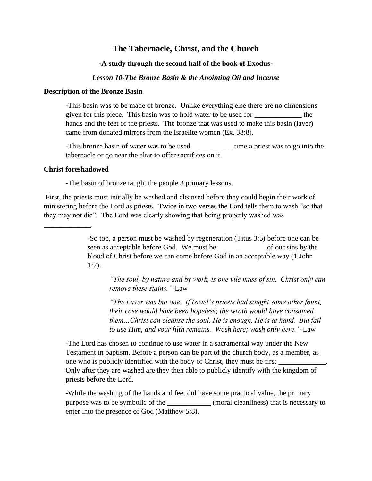# **The Tabernacle, Christ, and the Church**

## **-A study through the second half of the book of Exodus-**

## *Lesson 10-The Bronze Basin & the Anointing Oil and Incense*

#### **Description of the Bronze Basin**

-This basin was to be made of bronze. Unlike everything else there are no dimensions given for this piece. This basin was to hold water to be used for \_\_\_\_\_\_\_\_\_\_\_\_\_ the hands and the feet of the priests. The bronze that was used to make this basin (laver) came from donated mirrors from the Israelite women (Ex. 38:8).

-This bronze basin of water was to be used \_\_\_\_\_\_\_\_\_\_\_\_\_\_ time a priest was to go into the tabernacle or go near the altar to offer sacrifices on it.

#### **Christ foreshadowed**

\_\_\_\_\_\_\_\_\_\_\_\_\_.

-The basin of bronze taught the people 3 primary lessons.

First, the priests must initially be washed and cleansed before they could begin their work of ministering before the Lord as priests. Twice in two verses the Lord tells them to wash "so that they may not die". The Lord was clearly showing that being properly washed was

> -So too, a person must be washed by regeneration (Titus 3:5) before one can be seen as acceptable before God. We must be \_\_\_\_\_\_\_\_\_\_\_\_\_ of our sins by the blood of Christ before we can come before God in an acceptable way (1 John 1:7).

*"The soul, by nature and by work, is one vile mass of sin. Christ only can remove these stains."-*Law

*"The Laver was but one. If Israel's priests had sought some other fount, their case would have been hopeless; the wrath would have consumed them…Christ can cleanse the soul. He is enough, He is at hand. But fail to use Him, and your filth remains. Wash here; wash only here."-*Law

-The Lord has chosen to continue to use water in a sacramental way under the New Testament in baptism. Before a person can be part of the church body, as a member, as one who is publicly identified with the body of Christ, they must be first  $\overline{\phantom{a}}$ Only after they are washed are they then able to publicly identify with the kingdom of priests before the Lord.

-While the washing of the hands and feet did have some practical value, the primary purpose was to be symbolic of the \_\_\_\_\_\_\_\_\_\_\_\_ (moral cleanliness) that is necessary to enter into the presence of God (Matthew 5:8).